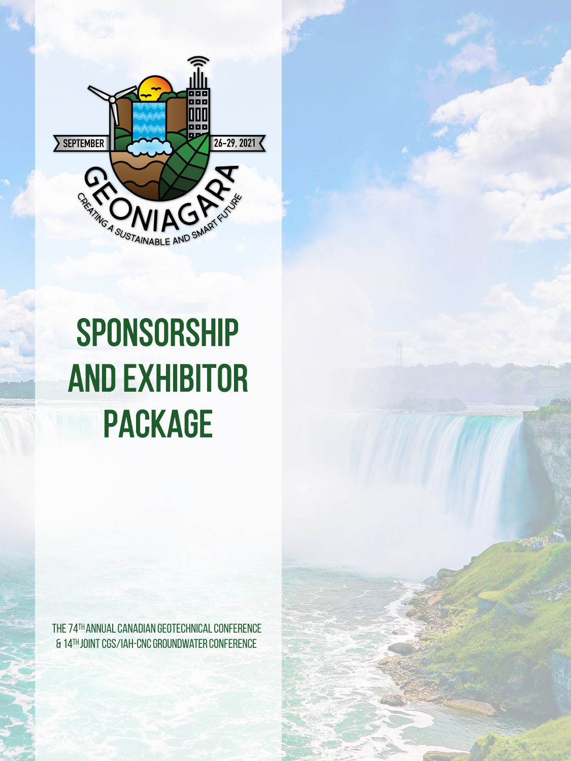

# SPONSORSHIP and EXHIBITOR PACKAGE

The 74th annual Canadian geotechnical conference & 14th joint CGS/iah-cnc groundwaterconference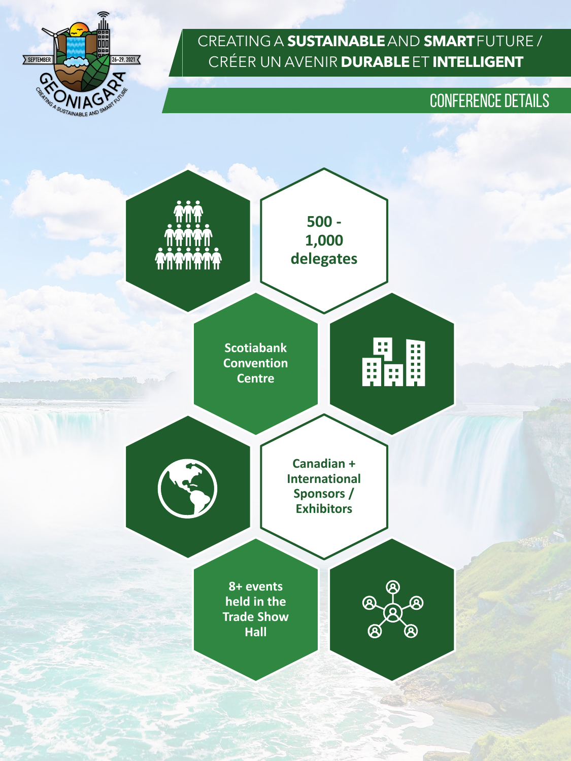

## CONFERENCE DETAILS

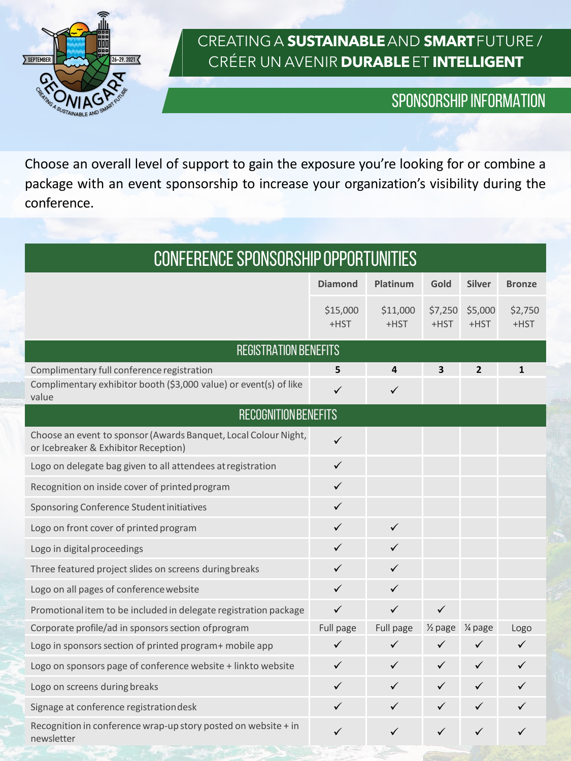

## SPONSORSHIP INFORMATION

Choose an overall level of support to gain the exposure you're looking for or combine a package with an event sponsorship to increase your organization's visibility during the conference.

| CONFERENCE SPONSORSHIP OPPORTUNITIES                                                                    |                  |                  |                    |                 |                    |
|---------------------------------------------------------------------------------------------------------|------------------|------------------|--------------------|-----------------|--------------------|
|                                                                                                         | <b>Diamond</b>   | Platinum         | Gold               | <b>Silver</b>   | <b>Bronze</b>      |
|                                                                                                         | \$15,000<br>+HST | \$11,000<br>+HST | \$7,250<br>+HST    | \$5,000<br>+HST | \$2,750<br>$+$ HST |
| <b>REGISTRATION BENEFITS</b>                                                                            |                  |                  |                    |                 |                    |
| Complimentary full conference registration                                                              | 5                | 4                | 3                  | $\overline{2}$  | $\mathbf{1}$       |
| Complimentary exhibitor booth (\$3,000 value) or event(s) of like<br>value                              | $\checkmark$     | $\checkmark$     |                    |                 |                    |
| <b>RECOGNITION BENEFITS</b>                                                                             |                  |                  |                    |                 |                    |
| Choose an event to sponsor (Awards Banquet, Local Colour Night,<br>or Icebreaker & Exhibitor Reception) | $\checkmark$     |                  |                    |                 |                    |
| Logo on delegate bag given to all attendees at registration                                             | $\checkmark$     |                  |                    |                 |                    |
| Recognition on inside cover of printed program                                                          | $\checkmark$     |                  |                    |                 |                    |
| Sponsoring Conference Student initiatives                                                               | ✓                |                  |                    |                 |                    |
| Logo on front cover of printed program                                                                  | ✓                | $\checkmark$     |                    |                 |                    |
| Logo in digital proceedings                                                                             | ✓                | $\checkmark$     |                    |                 |                    |
| Three featured project slides on screens during breaks                                                  | ✓                | $\checkmark$     |                    |                 |                    |
| Logo on all pages of conference website                                                                 | ✓                | ✓                |                    |                 |                    |
| Promotional item to be included in delegate registration package                                        | $\checkmark$     | $\checkmark$     | $\checkmark$       |                 |                    |
| Corporate profile/ad in sponsors section of program                                                     | Full page        | Full page        | $\frac{1}{2}$ page | 1/4 page        | Logo               |
| Logo in sponsors section of printed program+ mobile app                                                 | ✓                | $\checkmark$     | ✓                  | ✓               | $\checkmark$       |
| Logo on sponsors page of conference website + linkto website                                            | ✓                | $\checkmark$     | ✓                  | $\checkmark$    | ✓                  |
| Logo on screens during breaks                                                                           | ✓                | $\checkmark$     | $\checkmark$       | $\checkmark$    | $\checkmark$       |
| Signage at conference registrationdesk                                                                  | ✓                | $\checkmark$     | ✓                  | $\checkmark$    | ✓                  |
| Recognition in conference wrap-up story posted on website + in<br>newsletter                            | ✓                | ✓                | ✓                  | ✓               | ✓                  |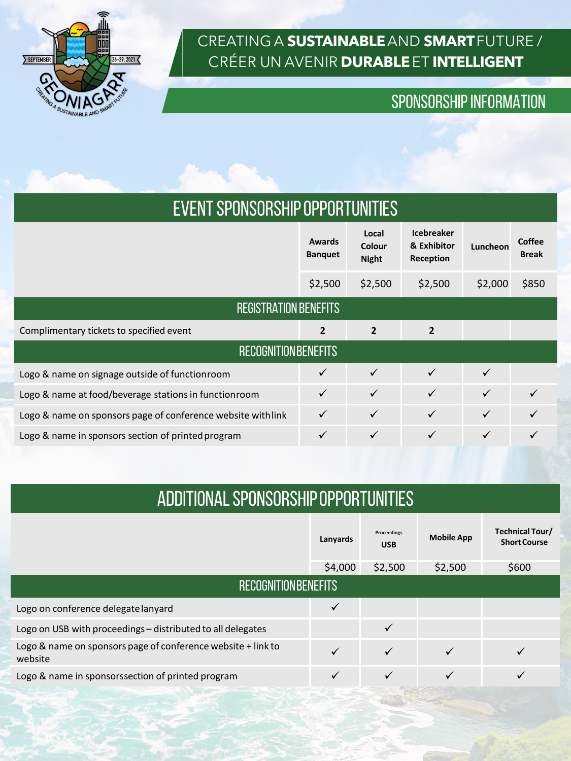

## SPONSORSHIP INFORMATION

| EVENT SPONSORSHIP OPPORTUNITIES |
|---------------------------------|
|---------------------------------|

|                                                              | Awards<br><b>Banquet</b> | Local<br>Colour<br><b>Night</b> | <b>Icebreaker</b><br>& Exhibitor<br>Reception | Luncheon     | Coffee<br><b>Break</b> |  |  |  |
|--------------------------------------------------------------|--------------------------|---------------------------------|-----------------------------------------------|--------------|------------------------|--|--|--|
|                                                              | \$2,500                  | \$2,500                         | \$2,500                                       | \$2,000      | \$850                  |  |  |  |
| <b>REGISTRATION BENEFITS</b>                                 |                          |                                 |                                               |              |                        |  |  |  |
| Complimentary tickets to specified event                     | $\overline{2}$           | $\overline{2}$                  | $\overline{2}$                                |              |                        |  |  |  |
| <b>RECOGNITION BENEFITS</b>                                  |                          |                                 |                                               |              |                        |  |  |  |
| Logo & name on signage outside of functionroom               |                          | $\checkmark$                    | $\checkmark$                                  | $\checkmark$ |                        |  |  |  |
| Logo & name at food/beverage stations in functionroom        |                          | $\checkmark$                    | $\checkmark$                                  | $\checkmark$ |                        |  |  |  |
| Logo & name on sponsors page of conference website with link | $\checkmark$             | $\checkmark$                    | $\checkmark$                                  | $\checkmark$ |                        |  |  |  |
| Logo & name in sponsors section of printed program           | $\checkmark$             | $\checkmark$                    | $\checkmark$                                  | $\checkmark$ |                        |  |  |  |
|                                                              |                          |                                 |                                               |              |                        |  |  |  |

## ADDITIONAL SPONSORSHIPOPPORTUNITIES

|                                                                         |         | Proceedings<br><b>USB</b> | <b>Mobile App</b> | Technical Tour/<br><b>Short Course</b> |  |
|-------------------------------------------------------------------------|---------|---------------------------|-------------------|----------------------------------------|--|
|                                                                         | \$4,000 | \$2,500                   | \$2,500           | \$600                                  |  |
| <b>RECOGNITION BENEFITS</b>                                             |         |                           |                   |                                        |  |
| Logo on conference delegate lanyard                                     | ✓       |                           |                   |                                        |  |
| Logo on USB with proceedings – distributed to all delegates             |         |                           |                   |                                        |  |
| Logo & name on sponsors page of conference website + link to<br>website |         |                           |                   |                                        |  |
| Logo & name in sponsorssection of printed program                       |         |                           |                   |                                        |  |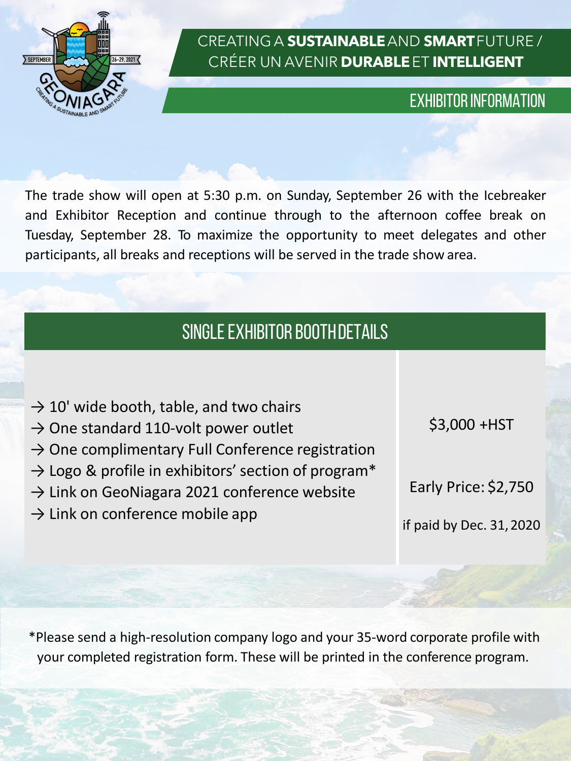

### EXHIBITOR INFORMATION

The trade show will open at 5:30 p.m. on Sunday, September 26 with the Icebreaker and Exhibitor Reception and continue through to the afternoon coffee break on Tuesday, September 28. To maximize the opportunity to meet delegates and other participants, all breaks and receptions will be served in the trade show area.

# SINGLE EXHIBITOR BOOTHDETAILS

|  | $\rightarrow$ 10' wide booth, table, and two chairs |  |
|--|-----------------------------------------------------|--|
|--|-----------------------------------------------------|--|

- $\rightarrow$  One standard 110-volt power outlet
- $\rightarrow$  One complimentary Full Conference registration
- $\rightarrow$  Logo & profile in exhibitors' section of program\*
- $\rightarrow$  Link on GeoNiagara 2021 conference website
- $\rightarrow$  Link on conference mobile app

\$3,000 +HST

Early Price: \$2,750

if paid by Dec. 31,2020

\*Please send a high-resolution company logo and your 35-word corporate profile with your completed registration form. These will be printed in the conference program.